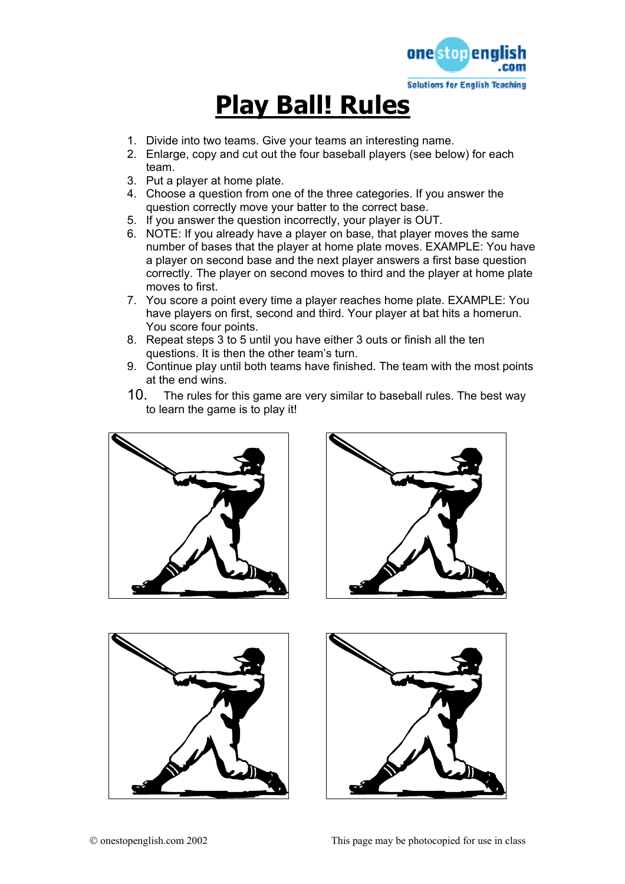

# **Play Ball! Rules**

- 1. Divide into two teams. Give your teams an interesting name.
- 2. Enlarge, copy and cut out the four baseball players (see below) for each team.
- 3. Put a player at home plate.
- 4. Choose a question from one of the three categories. If you answer the question correctly move your batter to the correct base.
- 5. If you answer the question incorrectly, your player is OUT.
- 6. NOTE: If you already have a player on base, that player moves the same number of bases that the player at home plate moves. EXAMPLE: You have a player on second base and the next player answers a first base question correctly. The player on second moves to third and the player at home plate moves to first.
- 7. You score a point every time a player reaches home plate. EXAMPLE: You have players on first, second and third. Your player at bat hits a homerun. You score four points.
- 8. Repeat steps 3 to 5 until you have either 3 outs or finish all the ten questions. It is then the other team's turn.
- 9. Continue play until both teams have finished. The team with the most points at the end wins.
- 10. The rules for this game are very similar to baseball rules. The best way to learn the game is to play it!